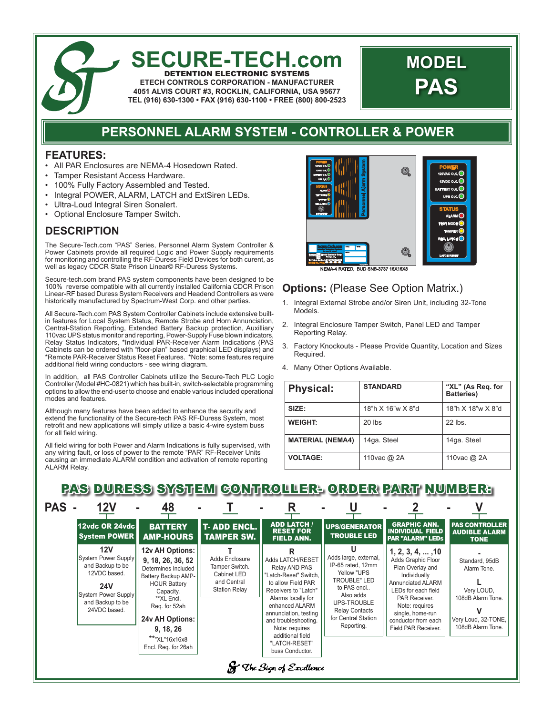### **SECURE-TECH.com** DETENTION ELECTRONIC SYSTEMS

**ETECH CONTROLS CORPORATION - MANUFACTURER 4051 ALVIS COURT #3, ROCKLIN, CALIFORNIA, USA 95677 TEL (916) 630-1300 • FAX (916) 630-1100 • FREE (800) 800-2523**

# **MODEL PAS**

## **PERSONNEL ALARM SYSTEM - CONTROLLER & POWER**

#### **FEATURES:**

- All PAR Enclosures are NEMA-4 Hosedown Rated.
- Tamper Resistant Access Hardware.
- 100% Fully Factory Assembled and Tested.
- Integral POWER, ALARM, LATCH and ExtSiren LEDs.
- Ultra-Loud Integral Siren Sonalert.
- Optional Enclosure Tamper Switch.

### **DESCRIPTION**

The Secure-Tech.com "PAS" Series, Personnel Alarm System Controller & Power Cabinets provide all required Logic and Power Supply requirements for monitoring and controlling the RF-Duress Field Devices for both curent, as well as legacy CDCR State Prison Linear© RF-Duress Systems.

Secure-tech.com brand PAS system components have been designed to be 100% reverse compatible with all currently installed California CDCR Prison Linear-RF based Duress System Receivers and Headend Controllers as were historically manufactured by Spectrum-West Corp. and other parties.

All Secure-Tech.com PAS System Controller Cabinets include extensive builtin features for Local System Status, Remote Strobe and Horn Annunciation, Central-Station Reporting, Extended Battery Backup protection, Auxilliary 110vac UPS status monitor and reporting, Power-Supply Fuse blown indicators, Relay Status Indicators, \*Individual PAR-Receiver Alarm Indications (PAS Cabinets can be ordered with "floor-plan" based graphical LED displays) and \*Remote PAR-Receiver Status Reset Features. \*Note: some features require additional field wiring conductors - see wiring diagram.

In addition, all PAS Controller Cabinets utilize the Secure-Tech PLC Logic Controller (Model #HC-0821) which has built-in, switch-selectable programming options to allow the end-user to choose and enable various included operational modes and features.

Although many features have been added to enhance the security and extend the functionality of the Secure-tech PAS RF-Duress System, most retrofit and new applications will simply utilize a basic 4-wire system buss for all field wiring.

All field wiring for both Power and Alarm Indications is fully supervised, with any wiring fault, or loss of power to the remote "PAR" RF-Receiver Units causing an immediate ALARM condition and activation of remote reporting ALARM Relay.



### **Options: (Please See Option Matrix.)**

- 1. Integral External Strobe and/or Siren Unit, including 32-Tone Models.
- 2. Integral Enclosure Tamper Switch, Panel LED and Tamper Reporting Relay.
- 3. Factory Knockouts Please Provide Quantity, Location and Sizes Required.
- 4. Many Other Options Available.

| <b>Physical:</b>        | <b>STANDARD</b>   | "XL" (As Reg. for<br><b>Batteries</b> ) |  |
|-------------------------|-------------------|-----------------------------------------|--|
| SIZE:                   | 18"h X 16"w X 8"d | 18"h X 18"w X 8"d                       |  |
| <b>WEIGHT:</b>          | $20$ lbs          | $22$ lbs.                               |  |
| <b>MATERIAL (NEMA4)</b> | 14ga. Steel       | 14ga. Steel                             |  |
| <b>VOLTAGE:</b>         | 110 vac @ 2A      | 110 vac @ 2A                            |  |

# PAS DURESS SYSTEM CONTROLLER- ORDER PART NUMBER:

| <b>PAS</b> |                                                                                                                                                       | 48                                                                                                                                                                                                                            |                                                                                               |                                                                                                                                                                                                                                                                             |                                                                                                                                                                                         |                                                                                                                                                                                                                                     |                                                                                                              |
|------------|-------------------------------------------------------------------------------------------------------------------------------------------------------|-------------------------------------------------------------------------------------------------------------------------------------------------------------------------------------------------------------------------------|-----------------------------------------------------------------------------------------------|-----------------------------------------------------------------------------------------------------------------------------------------------------------------------------------------------------------------------------------------------------------------------------|-----------------------------------------------------------------------------------------------------------------------------------------------------------------------------------------|-------------------------------------------------------------------------------------------------------------------------------------------------------------------------------------------------------------------------------------|--------------------------------------------------------------------------------------------------------------|
|            | 12vdc OR 24vdc<br><b>System POWER</b>                                                                                                                 | <b>BATTERY</b><br><b>AMP-HOURS</b>                                                                                                                                                                                            | <b>T- ADD ENCL.</b><br><b>TAMPER SW.</b>                                                      | <b>ADD LATCH /</b><br><b>RESET FOR</b><br><b>FIELD ANN.</b>                                                                                                                                                                                                                 | <b>UPS/GENERATOR</b><br><b>TROUBLE LED</b>                                                                                                                                              | <b>GRAPHIC ANN.</b><br><b>INDIVIDUAL FIELD</b><br><b>PAR "ALARM" LEDS</b>                                                                                                                                                           | <b>PAS CONTROLLER</b><br><b>AUDIBLE ALARM</b><br><b>TONE</b>                                                 |
|            | 12V<br><b>System Power Supply</b><br>and Backup to be<br>12VDC based.<br><b>24V</b><br><b>System Power Supply</b><br>and Backup to be<br>24VDC based. | 12v AH Options:<br>9, 18, 26, 36, 52<br>Determines Included<br>Battery Backup AMP-<br><b>HOUR Battery</b><br>Capacity.<br>**XL Encl.<br>Req. for 52ah<br>24v AH Options:<br>9, 18, 26<br>**"XL"16x16x8<br>Encl. Req. for 26ah | <b>Adds Enclosure</b><br>Tamper Switch.<br>Cabinet LED<br>and Central<br><b>Station Relay</b> | Adds LATCH/RESET<br>Relay AND PAS<br>"Latch-Reset" Switch.<br>to allow Field PAR<br>Receivers to "Latch"<br>Alarms locally for<br>enhanced ALARM<br>annunciation, testing<br>and troubleshooting.<br>Note: requires<br>additional field<br>"LATCH-RESET"<br>buss Conductor. | Ш<br>Adds large, external,<br>IP-65 rated, 12mm<br>Yellow "UPS<br>TROUBLE" LED<br>to PAS encl<br>Also adds<br>UPS-TROUBLE<br><b>Relay Contacts</b><br>for Central Station<br>Reporting. | $1, 2, 3, 4, \ldots, 10$<br>Adds Graphic Floor<br>Plan Overlay and<br>Individually<br>Annunciated ALARM<br>LEDs for each field<br>PAR Receiver.<br>Note: requires<br>single, home-run<br>conductor from each<br>Field PAR Receiver. | Standard, 95dB<br>Alarm Tone.<br>Very LOUD,<br>108dB Alarm Tone.<br>Very Loud, 32-TONE,<br>108dB Alarm Tone. |
|            |                                                                                                                                                       |                                                                                                                                                                                                                               |                                                                                               | <b>St</b> The Sign of Excellence                                                                                                                                                                                                                                            |                                                                                                                                                                                         |                                                                                                                                                                                                                                     |                                                                                                              |